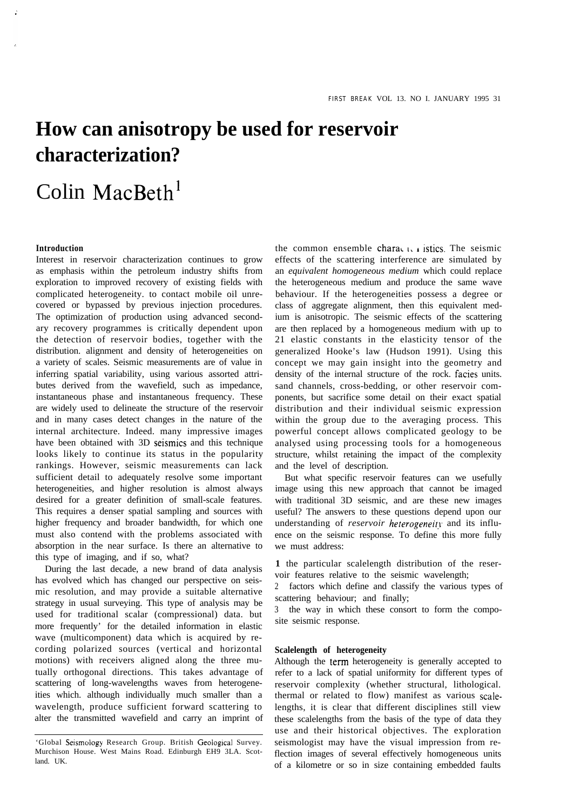# **How can anisotropy be used for reservoir characterization?**

# Colin MacBeth'

# **Introduction**

Interest in reservoir characterization continues to grow as emphasis within the petroleum industry shifts from exploration to improved recovery of existing fields with complicated heterogeneity. to contact mobile oil unrecovered or bypassed by previous injection procedures. The optimization of production using advanced secondary recovery programmes is critically dependent upon the detection of reservoir bodies, together with the distribution. alignment and density of heterogeneities on a variety of scales. Seismic measurements are of value in inferring spatial variability, using various assorted attributes derived from the wavefield, such as impedance, instantaneous phase and instantaneous frequency. These are widely used to delineate the structure of the reservoir and in many cases detect changes in the nature of the internal architecture. Indeed. many impressive images have been obtained with 3D seismics and this technique looks likely to continue its status in the popularity rankings. However, seismic measurements can lack sufficient detail to adequately resolve some important heterogeneities, and higher resolution is almost always desired for a greater definition of small-scale features. This requires a denser spatial sampling and sources with higher frequency and broader bandwidth, for which one must also contend with the problems associated with absorption in the near surface. Is there an alternative to this type of imaging, and if so, what?

During the last decade, a new brand of data analysis has evolved which has changed our perspective on seismic resolution, and may provide a suitable alternative strategy in usual surveying. This type of analysis may be used for traditional scalar (compressional) data. but more frequently' for the detailed information in elastic wave (multicomponent) data which is acquired by recording polarized sources (vertical and horizontal motions) with receivers aligned along the three mutually orthogonal directions. This takes advantage of scattering of long-wavelengths waves from heterogeneities which. although individually much smaller than a wavelength, produce sufficient forward scattering to alter the transmitted wavefield and carry an imprint of

the common ensemble characteristics. The seismic effects of the scattering interference are simulated by an *equivalent homogeneous medium* which could replace the heterogeneous medium and produce the same wave behaviour. If the heterogeneities possess a degree or class of aggregate alignment, then this equivalent medium is anisotropic. The seismic effects of the scattering are then replaced by a homogeneous medium with up to 21 elastic constants in the elasticity tensor of the generalized Hooke's law (Hudson 1991). Using this concept we may gain insight into the geometry and density of the internal structure of the rock. facies units. sand channels, cross-bedding, or other reservoir components, but sacrifice some detail on their exact spatial distribution and their individual seismic expression within the group due to the averaging process. This powerful concept allows complicated geology to be analysed using processing tools for a homogeneous structure, whilst retaining the impact of the complexity and the level of description.

But what specific reservoir features can we usefully image using this new approach that cannot be imaged with traditional 3D seismic, and are these new images useful? The answers to these questions depend upon our understanding of *reservoir heterogeneity* and its influence on the seismic response. To define this more fully we must address:

**1** the particular scalelength distribution of the reservoir features relative to the seismic wavelength;

2 factors which define and classify the various types of scattering behaviour; and finally;

the way in which these consort to form the composite seismic response.

# **Scalelength of heterogeneity**

Although the term heterogeneity is generally accepted to refer to a lack of spatial uniformity for different types of reservoir complexity (whether structural, lithological. thermal or related to flow) manifest as various scalelengths, it is clear that different disciplines still view these scalelengths from the basis of the type of data they use and their historical objectives. The exploration seismologist may have the visual impression from reflection images of several effectively homogeneous units of a kilometre or so in size containing embedded faults

<sup>&#</sup>x27;Global Seismology Research Group. British Geological Survey. Murchison House. West Mains Road. Edinburgh EH9 3LA. Scotland. UK.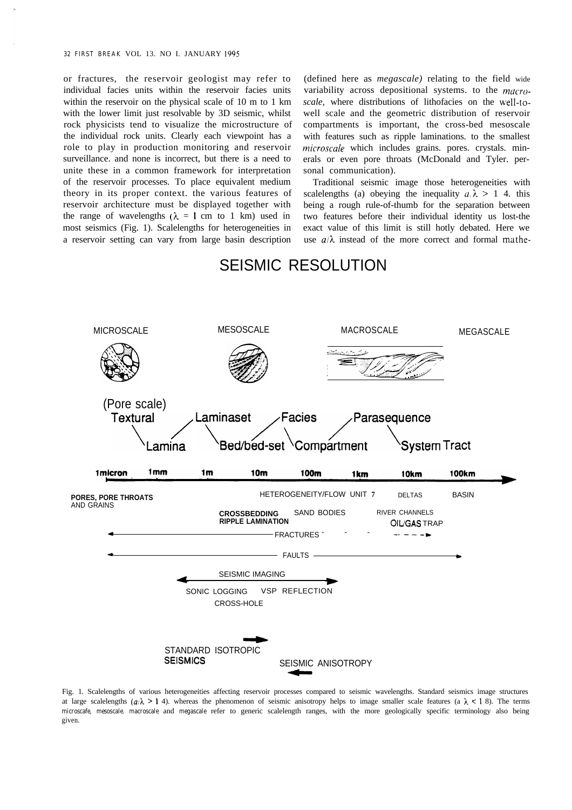or fractures, the reservoir geologist may refer to individual facies units within the reservoir facies units within the reservoir on the physical scale of 10 m to 1 km with the lower limit just resolvable by 3D seismic, whilst rock physicists tend to visualize the microstructure of the individual rock units. Clearly each viewpoint has a role to play in production monitoring and reservoir surveillance. and none is incorrect, but there is a need to unite these in a common framework for interpretation of the reservoir processes. To place equivalent medium theory in its proper context. the various features of reservoir architecture must be displayed together with the range of wavelengths ( $\lambda = 1$  cm to 1 km) used in most seismics (Fig. 1). Scalelengths for heterogeneities in a reservoir setting can vary from large basin description

(defined here as *megascale)* relating to the field wide variability across depositional systems. to the *macroscale,* where distributions of lithofacies on the well-towell scale and the geometric distribution of reservoir compartments is important, the cross-bed mesoscale with features such as ripple laminations. to the smallest  $microscale$  which includes grains. pores. crystals. minerals or even pore throats (McDonald and Tyler. personal communication).

Traditional seismic image those heterogeneities with scalelengths (a) obeying the inequality  $a, \lambda > 1$  4. this being a rough rule-of-thumb for the separation between two features before their individual identity us lost-the exact value of this limit is still hotly debated. Here we use  $a/\lambda$  instead of the more correct and formal mathe-



# SEISMIC RESOLUTION

Fig. 1. Scalelengths of various heterogeneities affecting reservoir processes compared to seismic wavelengths. Standard seismics image structures at large scalelengths  $(a/\lambda > 1, 4)$ , whereas the phenomenon of seismic anisotropy helps to image smaller scale features (a  $\lambda < 1, 8$ ). The terms *microscafe, mesoscale. macroscale* and *megascale* refer to generic scalelength ranges, with the more geologically specific terminology also being given.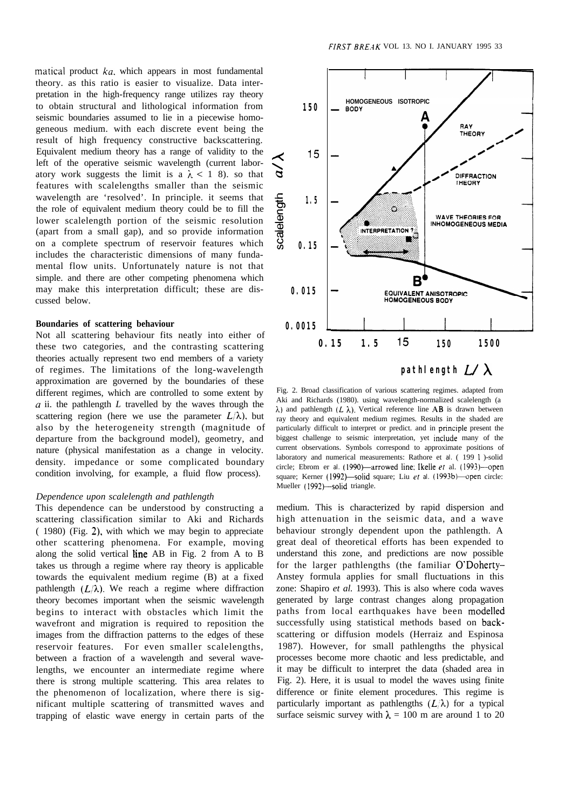matical product  $ka$ , which appears in most fundamental theory. as this ratio is easier to visualize. Data interpretation in the high-frequency range utilizes ray theory to obtain structural and lithological information from seismic boundaries assumed to lie in a piecewise homogeneous medium. with each discrete event being the result of high frequency constructive backscattering. Equivalent medium theory has a range of validity to the left of the operative seismic wavelength (current laboratory work suggests the limit is a  $\lambda \leq 1$  8), so that features with scalelengths smaller than the seismic wavelength are 'resolved'. In principle. it seems that the role of equivalent medium theory could be to fill the lower scalelength portion of the seismic resolution (apart from a small gap), and so provide information on a complete spectrum of reservoir features which includes the characteristic dimensions of many fundamental flow units. Unfortunately nature is not that simple. and there are other competing phenomena which may make this interpretation difficult; these are discussed below.

# **Boundaries of scattering behaviour**

Not all scattering behaviour fits neatly into either of these two categories, and the contrasting scattering theories actually represent two end members of a variety of regimes. The limitations of the long-wavelength approximation are governed by the boundaries of these different regimes, which are controlled to some extent by  $a$  ii. the pathlength  $L$  travelled by the waves through the scattering region (here we use the parameter  $L/\lambda$ ), but also by the heterogeneity strength (magnitude of departure from the background model), geometry, and nature (physical manifestation as a change in velocity. density. impedance or some complicated boundary condition involving, for example, a fluid flow process).

## *Dependence upon scalelength and pathlength*

This dependence can be understood by constructing a scattering classification similar to Aki and Richards ( 1980) (Fig. 2), with which we may begin to appreciate other scattering phenomena. For example, moving along the solid vertical line AB in Fig. 2 from A to B takes us through a regime where ray theory is applicable towards the equivalent medium regime (B) at a fixed pathlength  $(L/\lambda)$ . We reach a regime where diffraction theory becomes important when the seismic wavelength begins to interact with obstacles which limit the wavefront and migration is required to reposition the images from the diffraction patterns to the edges of these reservoir features. For even smaller scalelengths, between a fraction of a wavelength and several wavelengths, we encounter an intermediate regime where there is strong multiple scattering. This area relates to the phenomenon of localization, where there is significant multiple scattering of transmitted waves and trapping of elastic wave energy in certain parts of the



Fig. 2. Broad classification of various scattering regimes. adapted from Aki and Richards (1980). using wavelength-normalized scalelength (a  $\lambda$ ) and pathlength (L  $\lambda$ ). Vertical reference line AB is drawn between ray theory and equivalent medium regimes. Results in the shaded are particularly difficult to interpret or predict. and in principle present the biggest challenge to seismic interpretation, yet include many of the current observations. Symbols correspond to approximate positions of laboratory and numerical measurements: Rathore et *al.* ( 199 1 )-solid circle; Ebrom er al. (1990)-arrowed line; Ikelle et al. (1993)-open square; Kerner (1992)-solid square; Liu et al. (1993b)-open circle: Mueller (1992)-solid triangle.

medium. This is characterized by rapid dispersion and high attenuation in the seismic data, and a wave behaviour strongly dependent upon the pathlength. A great deal of theoretical efforts has been expended to understand this zone, and predictions are now possible for the larger pathlengths (the familiar O'Doherty-Anstey formula applies for small fluctuations in this zone: Shapiro *et al.* 1993). This is also where coda waves generated by large contrast changes along propagation paths from local earthquakes have been modelled successfully using statistical methods based on backscattering or diffusion models (Herraiz and Espinosa 1987). However, for small pathlengths the physical processes become more chaotic and less predictable, and it may be difficult to interpret the data (shaded area in Fig. 2). Here, it is usual to model the waves using finite difference or finite element procedures. This regime is particularly important as pathlengths  $(L/\lambda)$  for a typical surface seismic survey with  $\lambda = 100$  m are around 1 to 20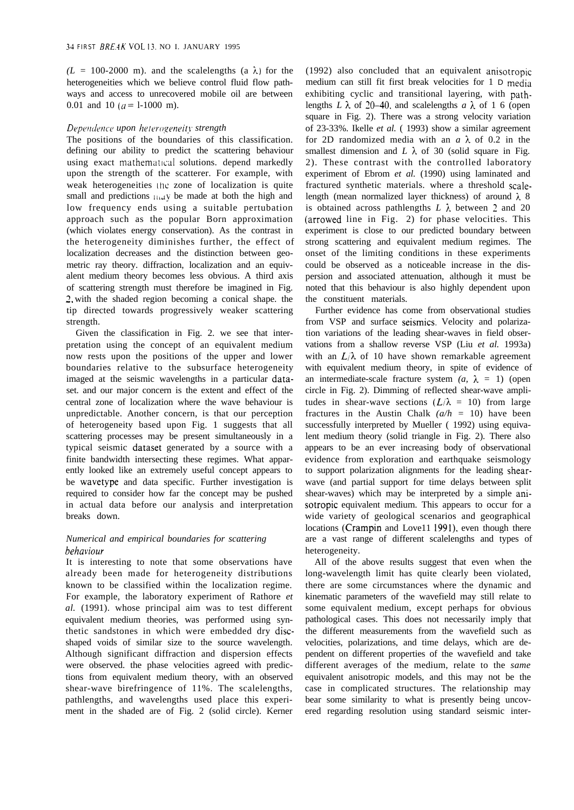$(L = 100-2000 \text{ m})$ . and the scalelengths (a  $\lambda$ ) for the heterogeneities which we believe control fluid flow pathways and access to unrecovered mobile oil are between 0.01 and 10 ( $a = 1-1000$  m).

# *Dependence upon heterogeneitv strength*

The positions of the boundaries of this classification. defining our ability to predict the scattering behaviour using exact mathematical solutions. depend markedly upon the strength of the scatterer. For example, with weak heterogeneities the zone of localization is quite small and predictions  $\lim_{x \to a} y$  be made at both the high and low frequency ends using a suitable pertubation approach such as the popular Born approximation (which violates energy conservation). As the contrast in the heterogeneity diminishes further, the effect of localization decreases and the distinction between geometric ray theory. diffraction, localization and an equivalent medium theory becomes less obvious. A third axis of scattering strength must therefore be imagined in Fig. 2, with the shaded region becoming a conical shape. the tip directed towards progressively weaker scattering strength.

Given the classification in Fig. 2. we see that interpretation using the concept of an equivalent medium now rests upon the positions of the upper and lower boundaries relative to the subsurface heterogeneity imaged at the seismic wavelengths in a particular dataset. and our major concern is the extent and effect of the central zone of localization where the wave behaviour is unpredictable. Another concern, is that our perception of heterogeneity based upon Fig. 1 suggests that all scattering processes may be present simultaneously in a typical seismic dataset generated by a source with a finite bandwidth intersecting these regimes. What apparently looked like an extremely useful concept appears to be wavetype and data specific. Further investigation is required to consider how far the concept may be pushed in actual data before our analysis and interpretation breaks down.

# *Numerical and empirical boundaries for scattering beha viour*

It is interesting to note that some observations have already been made for heterogeneity distributions known to be classified within the localization regime. For example, the laboratory experiment of Rathore *et al.* (1991). whose principal aim was to test different equivalent medium theories, was performed using synthetic sandstones in which were embedded dry discshaped voids of similar size to the source wavelength. Although significant diffraction and dispersion effects were observed. the phase velocities agreed with predictions from equivalent medium theory, with an observed shear-wave birefringence of 11%. The scalelengths, pathlengths, and wavelengths used place this experiment in the shaded are of Fig. 2 (solid circle). Kerner

(1992) also concluded that an equivalent anisotropic medium can still fit first break velocities for 1 D media exhibiting cyclic and transitional layering, with pathlengths *L*  $\lambda$  of 20–40, and scalelengths *a*  $\lambda$  of 1 6 (open square in Fig. 2). There was a strong velocity variation of 23-33%. Ikelle *et al.* ( 1993) show a similar agreement for 2D randomized media with an  $a \lambda$  of 0.2 in the smallest dimension and  $L \lambda$  of 30 (solid square in Fig. 2). These contrast with the controlled laboratory experiment of Ebrom *et al.* (1990) using laminated and fractured synthetic materials. where a threshold scalelength (mean normalized layer thickness) of around  $\lambda$  8 is obtained across pathlengths  $L \lambda$  between 2 and 20 (arrowed line in Fig. 2) for phase velocities. This experiment is close to our predicted boundary between strong scattering and equivalent medium regimes. The onset of the limiting conditions in these experiments could be observed as a noticeable increase in the dispersion and associated attenuation, although it must be noted that this behaviour is also highly dependent upon the constituent materials.

Further evidence has come from observational studies from VSP and surface seismics. Velocity and polarization variations of the leading shear-waves in field observations from a shallow reverse VSP (Liu *et al.* 1993a) with an  $L/\lambda$  of 10 have shown remarkable agreement with equivalent medium theory, in spite of evidence of an intermediate-scale fracture system  $(a, \lambda = 1)$  (open circle in Fig. 2). Dimming of reflected shear-wave amplitudes in shear-wave sections  $(L/\lambda = 10)$  from large fractures in the Austin Chalk  $(a/h = 10)$  have been successfully interpreted by Mueller ( 1992) using equivalent medium theory (solid triangle in Fig. 2). There also appears to be an ever increasing body of observational evidence from exploration and earthquake seismology to support polarization alignments for the leading shearwave (and partial support for time delays between split shear-waves) which may be interpreted by a simple anisotropic equivalent medium. This appears to occur for a wide variety of geological scenarios and geographical locations (Crampin and Love11 1991), even though there are a vast range of different scalelengths and types of heterogeneity.

All of the above results suggest that even when the long-wavelength limit has quite clearly been violated, there are some circumstances where the dynamic and kinematic parameters of the wavefield may still relate to some equivalent medium, except perhaps for obvious pathological cases. This does not necessarily imply that the different measurements from the wavefield such as velocities, polarizations, and time delays, which are dependent on different properties of the wavefield and take different averages of the medium, relate to the *same* equivalent anisotropic models, and this may not be the case in complicated structures. The relationship may bear some similarity to what is presently being uncovered regarding resolution using standard seismic inter-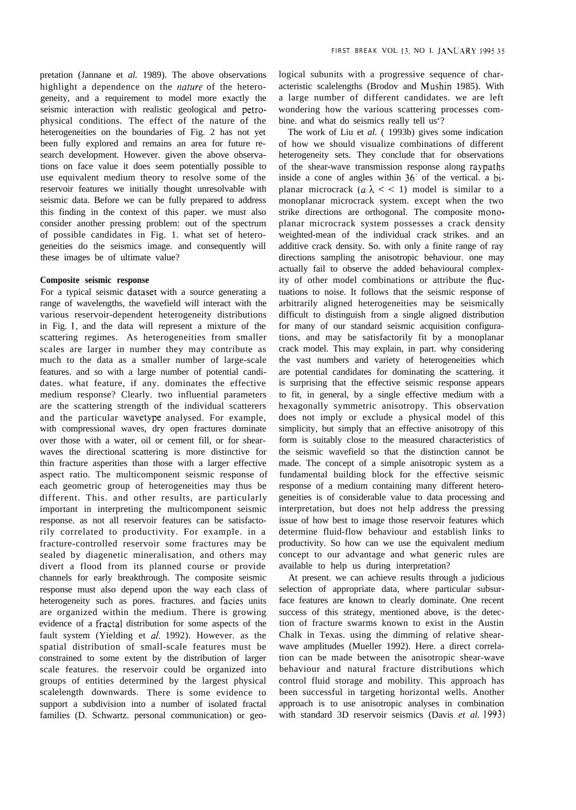pretation (Jannane et *al.* 1989). The above observations highlight a dependence on the *nature* of the heterogeneity, and a requirement to model more exactly the seismic interaction with realistic geological and petrophysical conditions. The effect of the nature of the heterogeneities on the boundaries of Fig. 2 has not yet been fully explored and remains an area for future research development. However. given the above observations on face value it does seem potentially possible to use equivalent medium theory to resolve some of the reservoir features we initially thought unresolvable with seismic data. Before we can be fully prepared to address this finding in the context of this paper. we must also consider another pressing problem: out of the spectrum of possible candidates in Fig. 1. what set of heterogeneities do the seismics image. and consequently will these images be of ultimate value?

# **Composite seismic response**

For a typical seismic dataset with a source generating a range of wavelengths, the wavefield will interact with the various reservoir-dependent heterogeneity distributions in Fig. 1, and the data will represent a mixture of the scattering regimes. As heterogeneities from smaller scales are larger in number they may contribute as much to the data as a smaller number of large-scale features. and so with a large number of potential candidates. what feature, if any. dominates the effective medium response? Clearly. two influential parameters are the scattering strength of the individual scatterers and the particular wavetype analysed. For example, with compressional waves, dry open fractures dominate over those with a water, oil or cement fill, or for shearwaves the directional scattering is more distinctive for thin fracture asperities than those with a larger effective aspect ratio. The multicomponent seismic response of each geometric group of heterogeneities may thus be different. This. and other results, are particularly important in interpreting the multicomponent seismic response. as not all reservoir features can be satisfactorily correlated to productivity. For example. in a fracture-controlled reservoir some fractures may be sealed by diagenetic mineralisation, and others may divert a flood from its planned course or provide channels for early breakthrough. The composite seismic response must also depend upon the way each class of heterogeneity such as pores. fractures. and facies units are organized within the medium. There is growing evidence of a fractal distribution for some aspects of the fault system (Yielding et *al.* 1992). However. as the spatial distribution of small-scale features must be constrained to some extent by the distribution of larger scale features. the reservoir could be organized into groups of entities determined by the largest physical scalelength downwards. There is some evidence to support a subdivision into a number of isolated fractal families (D. Schwartz. personal communication) or geological subunits with a progressive sequence of characteristic scalelengths (Brodov and Mushin 1985). With a large number of different candidates. we are left wondering how the various scattering processes combine. and what do seismics really tell us'?

The work of Liu et *al.* ( 1993b) gives some indication of how we should visualize combinations of different heterogeneity sets. They conclude that for observations of the shear-wave transmission response along raypaths inside a cone of angles within  $36<sup>3</sup>$  of the vertical. a biplanar microcrack  $(a/\lambda \leq 1)$  model is similar to a monoplanar microcrack system. except when the two strike directions are orthogonal. The composite monoplanar microcrack system possesses a crack density weighted-mean of the individual crack strikes. and an additive crack density. So. with only a finite range of ray directions sampling the anisotropic behaviour. one may actually fail to observe the added behavioural complexity of other model combinations or attribute the fiuctuations to noise. It follows that the seismic response of arbitrarily aligned heterogeneities may be seismically difficult to distinguish from a single aligned distribution for many of our standard seismic acquisition configurations, and may be satisfactorily fit by a monoplanar crack model. This may explain, in part. why considering the vast numbers and variety of heterogeneities which are potential candidates for dominating the scattering. it is surprising that the effective seismic response appears to fit, in general, by a single effective medium with a hexagonally symmetric anisotropy. This observation does not imply or exclude a physical model of this simplicity, but simply that an effective anisotropy of this form is suitably close to the measured characteristics of the seismic wavefield so that the distinction cannot be made. The concept of a simple anisotropic system as a fundamental building block for the effective seismic response of a medium containing many different heterogeneities is of considerable value to data processing and interpretation, but does not help address the pressing issue of how best to image those reservoir features which determine fluid-flow behaviour and establish links to productivity. So how can we use the equivalent medium concept to our advantage and what generic rules are available to help us during interpretation?

At present. we can achieve results through a judicious selection of appropriate data, where particular subsurface features are known to clearly dominate. One recent success of this strategy, mentioned above, is the detection of fracture swarms known to exist in the Austin Chalk in Texas. using the dimming of relative shearwave amplitudes (Mueller 1992). Here. a direct correlation can be made between the anisotropic shear-wave behaviour and natural fracture distributions which control fluid storage and mobility. This approach has been successful in targeting horizontal wells. Another approach is to use anisotropic analyses in combination with standard 3D reservoir seismics (Davis *et al. 1993)*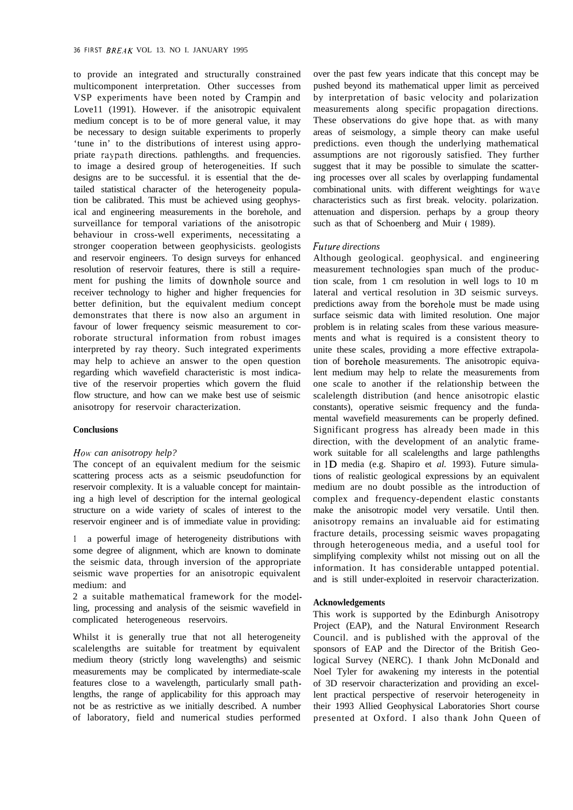to provide an integrated and structurally constrained multicomponent interpretation. Other successes from VSP experiments have been noted by Crampin and Love11 (1991). However. if the anisotropic equivalent medium concept is to be of more general value, it may be necessary to design suitable experiments to properly 'tune in' to the distributions of interest using appropriate raypath directions. pathlengths. and frequencies. to image a desired group of heterogeneities. If such designs are to be successful. it is essential that the detailed statistical character of the heterogeneity population be calibrated. This must be achieved using geophysical and engineering measurements in the borehole, and surveillance for temporal variations of the anisotropic behaviour in cross-well experiments, necessitating a stronger cooperation between geophysicists. geologists and reservoir engineers. To design surveys for enhanced resolution of reservoir features, there is still a requirement for pushing the limits of downhole source and receiver technology to higher and higher frequencies for better definition, but the equivalent medium concept demonstrates that there is now also an argument in favour of lower frequency seismic measurement to corroborate structural information from robust images interpreted by ray theory. Such integrated experiments may help to achieve an answer to the open question regarding which wavefield characteristic is most indicative of the reservoir properties which govern the fluid flow structure, and how can we make best use of seismic anisotropy for reservoir characterization.

### **Conclusions**

## *HON. can anisotropy help?*

The concept of an equivalent medium for the seismic scattering process acts as a seismic pseudofunction for reservoir complexity. It is a valuable concept for maintaining a high level of description for the internal geological structure on a wide variety of scales of interest to the reservoir engineer and is of immediate value in providing:

**<sup>1</sup>** a powerful image of heterogeneity distributions with some degree of alignment, which are known to dominate the seismic data, through inversion of the appropriate seismic wave properties for an anisotropic equivalent medium: and

2 a suitable mathematical framework for the modelling, processing and analysis of the seismic wavefield in complicated heterogeneous reservoirs.

Whilst it is generally true that not all heterogeneity scalelengths are suitable for treatment by equivalent medium theory (strictly long wavelengths) and seismic measurements may be complicated by intermediate-scale features close to a wavelength, particularly small pathlengths, the range of applicability for this approach may not be as restrictive as we initially described. A number of laboratory, field and numerical studies performed over the past few years indicate that this concept may be pushed beyond its mathematical upper limit as perceived by interpretation of basic velocity and polarization measurements along specific propagation directions. These observations do give hope that. as with many areas of seismology, a simple theory can make useful predictions. even though the underlying mathematical assumptions are not rigorously satisfied. They further suggest that it may be possible to simulate the scattering processes over all scales by overlapping fundamental combinational units. with different weightings for wave characteristics such as first break. velocity. polarization. attenuation and dispersion. perhaps by a group theory such as that of Schoenberg and Muir ( 1989).

# *Frr ture directions*

Although geological. geophysical. and engineering measurement technologies span much of the production scale, from 1 cm resolution in well logs to 10 m lateral and vertical resolution in 3D seismic surveys. predictions away from the borehole must be made using surface seismic data with limited resolution. One major problem is in relating scales from these various measurements and what is required is a consistent theory to unite these scales, providing a more effective extrapolation of borehole measurements. The anisotropic equivalent medium may help to relate the measurements from one scale to another if the relationship between the scalelength distribution (and hence anisotropic elastic constants), operative seismic frequency and the fundamental wavefield measurements can be properly defined. Significant progress has already been made in this direction, with the development of an analytic framework suitable for all scalelengths and large pathlengths in 1D media (e.g. Shapiro et *al.* 1993). Future simulations of realistic geological expressions by an equivalent medium are no doubt possible as the introduction of complex and frequency-dependent elastic constants make the anisotropic model very versatile. Until then. anisotropy remains an invaluable aid for estimating fracture details, processing seismic waves propagating through heterogeneous media, and a useful tool for simplifying complexity whilst not missing out on all the information. It has considerable untapped potential. and is still under-exploited in reservoir characterization.

# **Acknowledgements**

This work is supported by the Edinburgh Anisotropy Project (EAP), and the Natural Environment Research Council. and is published with the approval of the sponsors of EAP and the Director of the British Geological Survey (NERC). I thank John McDonald and Noel Tyler for awakening my interests in the potential of 3D reservoir characterization and providing an excellent practical perspective of reservoir heterogeneity in their 1993 Allied Geophysical Laboratories Short course presented at Oxford. I also thank John Queen of